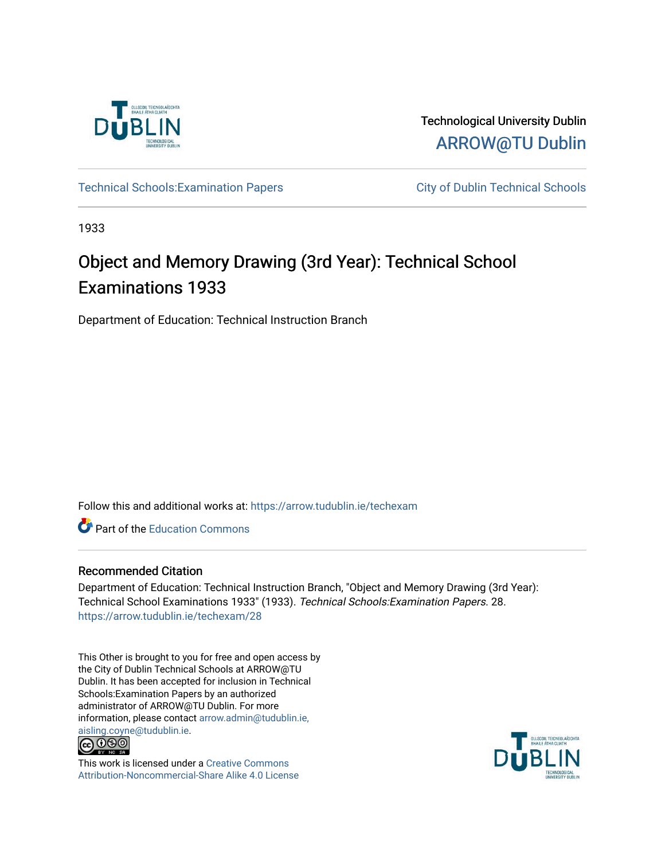

Technological University Dublin [ARROW@TU Dublin](https://arrow.tudublin.ie/) 

Technical Schools: Examination Papers City of Dublin Technical Schools

1933

# Object and Memory Drawing (3rd Year): Technical School Examinations 1933

Department of Education: Technical Instruction Branch

Follow this and additional works at: [https://arrow.tudublin.ie/techexam](https://arrow.tudublin.ie/techexam?utm_source=arrow.tudublin.ie%2Ftechexam%2F28&utm_medium=PDF&utm_campaign=PDFCoverPages) 

Part of the [Education Commons](http://network.bepress.com/hgg/discipline/784?utm_source=arrow.tudublin.ie%2Ftechexam%2F28&utm_medium=PDF&utm_campaign=PDFCoverPages)

## Recommended Citation

Department of Education: Technical Instruction Branch, "Object and Memory Drawing (3rd Year): Technical School Examinations 1933" (1933). Technical Schools:Examination Papers. 28. [https://arrow.tudublin.ie/techexam/28](https://arrow.tudublin.ie/techexam/28?utm_source=arrow.tudublin.ie%2Ftechexam%2F28&utm_medium=PDF&utm_campaign=PDFCoverPages)

This Other is brought to you for free and open access by the City of Dublin Technical Schools at ARROW@TU Dublin. It has been accepted for inclusion in Technical Schools:Examination Papers by an authorized administrator of ARROW@TU Dublin. For more information, please contact [arrow.admin@tudublin.ie,](mailto:arrow.admin@tudublin.ie,%20aisling.coyne@tudublin.ie)  [aisling.coyne@tudublin.ie.](mailto:arrow.admin@tudublin.ie,%20aisling.coyne@tudublin.ie)<br>© 090



This work is licensed under a [Creative Commons](http://creativecommons.org/licenses/by-nc-sa/4.0/) [Attribution-Noncommercial-Share Alike 4.0 License](http://creativecommons.org/licenses/by-nc-sa/4.0/)